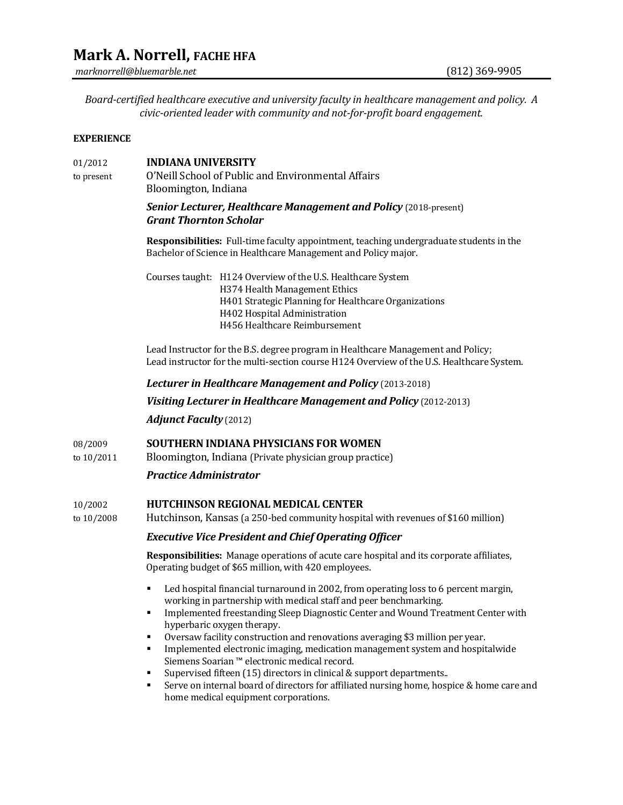# **Mark A. Norrell, FACHE HFA**

*marknorrell@bluemarble.net* (812) 369-9905

*Board-certified healthcare executive and university faculty in healthcare management and policy. A civic-oriented leader with community and not-for-profit board engagement.*

#### **EXPERIENCE**

## 01/2012 **INDIANA UNIVERSITY** to present O'Neill School of Public and Environmental Affairs Bloomington, Indiana *Senior Lecturer, Healthcare Management and Policy (2018-present) Grant Thornton Scholar* **Responsibilities:** Full-time faculty appointment, teaching undergraduate students in the Bachelor of Science in Healthcare Management and Policy major. Courses taught: H124 Overview of the U.S. Healthcare System H374 Health Management Ethics H401 Strategic Planning for Healthcare Organizations H402 Hospital Administration H456 Healthcare Reimbursement Lead Instructor for the B.S. degree program in Healthcare Management and Policy; Lead instructor for the multi-section course H124 Overview of the U.S. Healthcare System. *Lecturer in Healthcare Management and Policy* (2013-2018) *Visiting Lecturer in Healthcare Management and Policy* (2012-2013) *Adjunct Faculty* (2012) 08/2009 **SOUTHERN INDIANA PHYSICIANS FOR WOMEN** to 10/2011 Bloomington, Indiana (Private physician group practice) *Practice Administrator* 10/2002 **HUTCHINSON REGIONAL MEDICAL CENTER** to 10/2008 Hutchinson, Kansas (a 250-bed community hospital with revenues of \$160 million) *Executive Vice President and Chief Operating Officer* **Responsibilities:** Manage operations of acute care hospital and its corporate affiliates, Operating budget of \$65 million, with 420 employees. Led hospital financial turnaround in 2002, from operating loss to 6 percent margin, working in partnership with medical staff and peer benchmarking. **IMPLEMENTED Increding Sleep Diagnostic Center and Wound Treatment Center with** hyperbaric oxygen therapy. Oversaw facility construction and renovations averaging \$3 million per year. Implemented electronic imaging, medication management system and hospitalwide Siemens Soarian ™ electronic medical record. Supervised fifteen (15) directors in clinical & support departments.. Serve on internal board of directors for affiliated nursing home, hospice & home care and

home medical equipment corporations.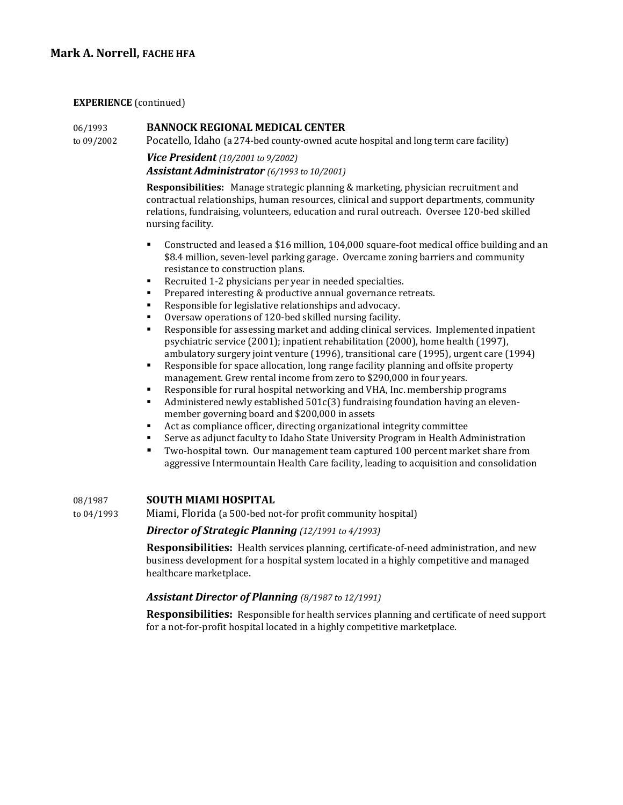## **Mark A. Norrell, FACHE HFA**

#### **EXPERIENCE** (continued)

### 06/1993 **BANNOCK REGIONAL MEDICAL CENTER**

to 09/2002 Pocatello, Idaho (a 274-bed county-owned acute hospital and long term care facility)

## *Vice President (10/2001 to 9/2002) Assistant Administrator (6/1993 to 10/2001)*

**Responsibilities:** Manage strategic planning & marketing, physician recruitment and contractual relationships, human resources, clinical and support departments, community relations, fundraising, volunteers, education and rural outreach. Oversee 120-bed skilled nursing facility.

- Constructed and leased a \$16 million, 104,000 square-foot medical office building and an \$8.4 million, seven-level parking garage. Overcame zoning barriers and community resistance to construction plans.
- Recruited 1-2 physicians per year in needed specialties.
- Prepared interesting & productive annual governance retreats.
- Responsible for legislative relationships and advocacy.
- Oversaw operations of 120-bed skilled nursing facility.
- Responsible for assessing market and adding clinical services. Implemented inpatient psychiatric service (2001); inpatient rehabilitation (2000), home health (1997), ambulatory surgery joint venture (1996), transitional care (1995), urgent care (1994)
- Responsible for space allocation, long range facility planning and offsite property management. Grew rental income from zero to \$290,000 in four years.
- Responsible for rural hospital networking and VHA, Inc. membership programs
- Administered newly established 501c(3) fundraising foundation having an elevenmember governing board and \$200,000 in assets
- Act as compliance officer, directing organizational integrity committee
- Serve as adjunct faculty to Idaho State University Program in Health Administration
- Two-hospital town. Our management team captured 100 percent market share from aggressive Intermountain Health Care facility, leading to acquisition and consolidation

## 08/1987 **SOUTH MIAMI HOSPITAL**

to 04/1993 Miami, Florida (a 500-bed not-for profit community hospital)

## *Director of Strategic Planning (12/1991 to 4/1993)*

**Responsibilities:** Health services planning, certificate-of-need administration, and new business development for a hospital system located in a highly competitive and managed healthcare marketplace.

#### *Assistant Director of Planning (8/1987 to 12/1991)*

**Responsibilities:** Responsible for health services planning and certificate of need support for a not-for-profit hospital located in a highly competitive marketplace.